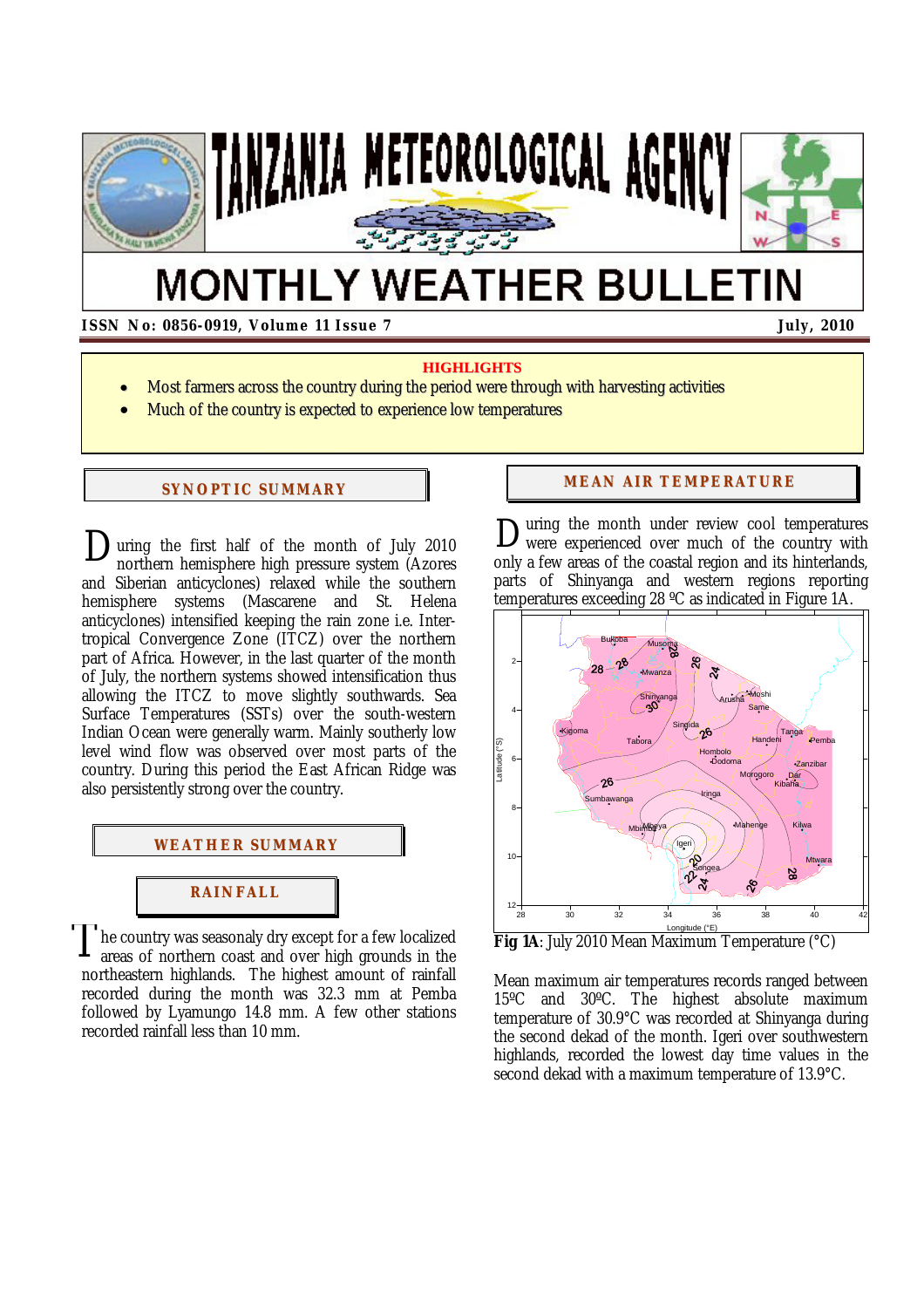

# **MONTHLY WEATHER BULLETIN**

## **ISSN No: 0856-0919, Volume 11 Issue 7 July, 2010**

#### **HIGHLIGHTS**

- Most farmers across the country during the period were through with harvesting activities
- Much of the country is expected to experience low temperatures

#### **SYNOPTIC SUMMARY**

uring the first half of the month of July 2010 During the first half of the month of July 2010<br>northern hemisphere high pressure system (Azores and Siberian anticyclones) relaxed while the southern hemisphere systems (Mascarene and St. Helena anticyclones) intensified keeping the rain zone i.e. Intertropical Convergence Zone (ITCZ) over the northern part of Africa. However, in the last quarter of the month of July, the northern systems showed intensification thus allowing the ITCZ to move slightly southwards. Sea Surface Temperatures (SSTs) over the south-western Indian Ocean were generally warm. Mainly southerly low level wind flow was observed over most parts of the country. During this period the East African Ridge was also persistently strong over the country.



he country was seasonaly dry except for a few localized areas of northern coast and over high grounds in the northeastern highlands. The highest amount of rainfall recorded during the month was 32.3 mm at Pemba followed by Lyamungo 14.8 mm. A few other stations recorded rainfall less than 10 mm. T

#### **MEAN AIR TEMPERATURE**

uring the month under review cool temperatures were experienced over much of the country with only a few areas of the coastal region and its hinterlands, parts of Shinyanga and western regions reporting temperatures exceeding 28 ºC as indicated in Figure 1A. D



**Fig 1A**: July 2010 Mean Maximum Temperature (°C)

Mean maximum air temperatures records ranged between 15ºC and 30ºC. The highest absolute maximum temperature of 30.9°C was recorded at Shinyanga during the second dekad of the month. Igeri over southwestern highlands, recorded the lowest day time values in the second dekad with a maximum temperature of 13.9°C.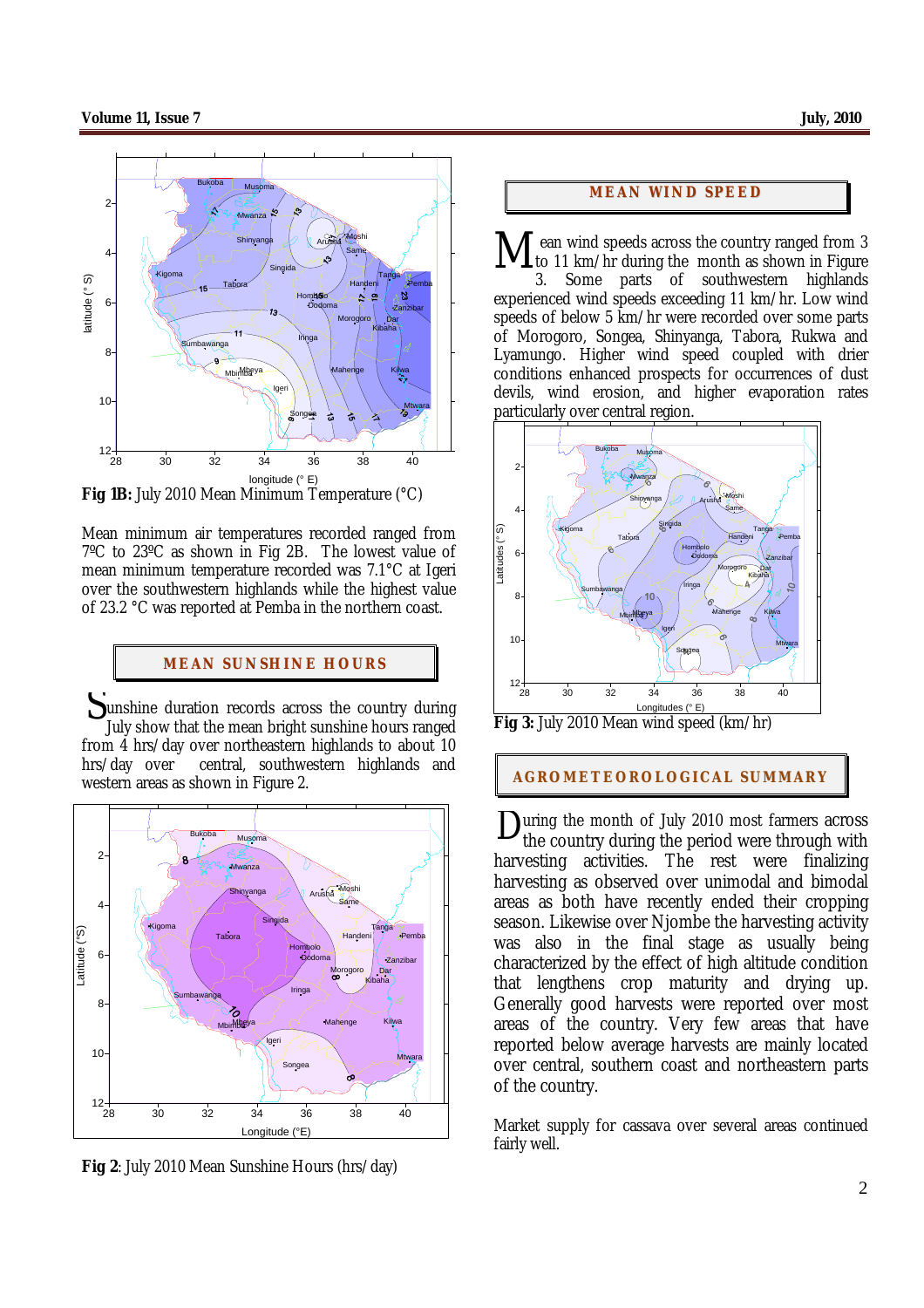

**Fig 1B:** July 2010 Mean Minimum Temperature (°C)

Mean minimum air temperatures recorded ranged from 7ºC to 23ºC as shown in Fig 2B. The lowest value of mean minimum temperature recorded was 7.1°C at Igeri over the southwestern highlands while the highest value of 23.2 °C was reported at Pemba in the northern coast.

#### **MEAN SUNSHINE HOURS**

Sunshine duration records across the country during<br>University that the mean bright sunshine hours ranged July show that the mean bright sunshine hours ranged from 4 hrs/day over northeastern highlands to about 10 hrs/day over central, southwestern highlands and western areas as shown in Figure 2.



**Fig 2**: July 2010 Mean Sunshine Hours (hrs/day)

#### **MEAN WI ND SPEED**

ean wind speeds across the country ranged from 3 to 11 km/hr during the month as shown in Figure M

3. Some parts of southwestern highlands experienced wind speeds exceeding 11 km/hr. Low wind speeds of below 5 km/hr were recorded over some parts of Morogoro, Songea, Shinyanga, Tabora, Rukwa and Lyamungo. Higher wind speed coupled with drier conditions enhanced prospects for occurrences of dust devils, wind erosion, and higher evaporation rates particularly over central region.



Fig 3: July 2010 Mean wind speed (km/hr)

### **AGROMETEOROLOGICAL SUMMARY**

uring the month of July 2010 most farmers across During the month of July 2010 most farmers across<br>the country during the period were through with harvesting activities. The rest were finalizing harvesting as observed over unimodal and bimodal areas as both have recently ended their cropping season. Likewise over Njombe the harvesting activity was also in the final stage as usually being characterized by the effect of high altitude condition that lengthens crop maturity and drying up. Generally good harvests were reported over most areas of the country. Very few areas that have reported below average harvests are mainly located over central, southern coast and northeastern parts of the country.

Market supply for cassava over several areas continued fairly well.